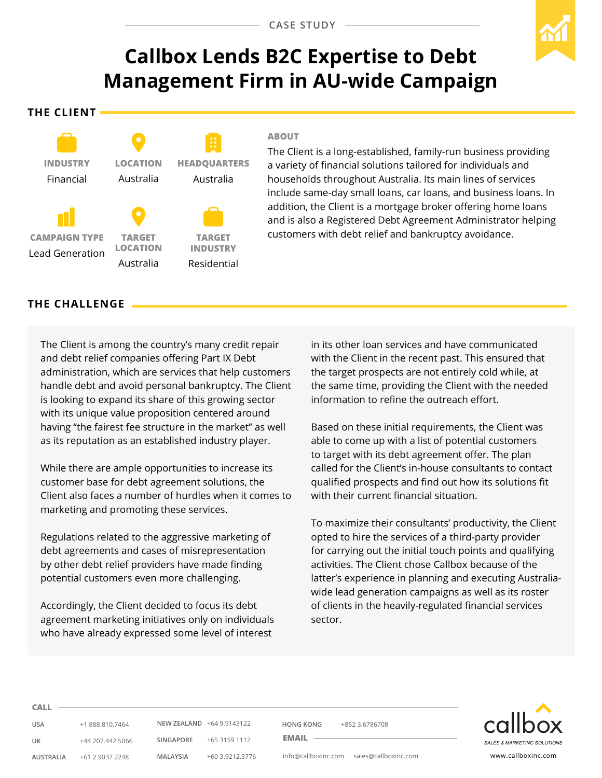# **Callbox Lends B2C Expertise to Debt Management Firm in AU-wide Campaign**

**The Client**



#### **ABOUT**

The Client is a long-established, family-run business providing a variety of financial solutions tailored for individuals and households throughout Australia. Its main lines of services include same-day small loans, car loans, and business loans. In addition, the Client is a mortgage broker offering home loans and is also a Registered Debt Agreement Administrator helping customers with debt relief and bankruptcy avoidance.

## **The CHALLENGE**

The Client is among the country's many credit repair and debt relief companies offering Part IX Debt administration, which are services that help customers handle debt and avoid personal bankruptcy. The Client is looking to expand its share of this growing sector with its unique value proposition centered around having "the fairest fee structure in the market" as well as its reputation as an established industry player.

While there are ample opportunities to increase its customer base for debt agreement solutions, the Client also faces a number of hurdles when it comes to marketing and promoting these services.

Regulations related to the aggressive marketing of debt agreements and cases of misrepresentation by other debt relief providers have made finding potential customers even more challenging.

Accordingly, the Client decided to focus its debt agreement marketing initiatives only on individuals who have already expressed some level of interest

in its other loan services and have communicated with the Client in the recent past. This ensured that the target prospects are not entirely cold while, at the same time, providing the Client with the needed information to refine the outreach effort.

Based on these initial requirements, the Client was able to come up with a list of potential customers to target with its debt agreement offer. The plan called for the Client's in-house consultants to contact qualified prospects and find out how its solutions fit with their current financial situation.

To maximize their consultants' productivity, the Client opted to hire the services of a third-party provider for carrying out the initial touch points and qualifying activities. The Client chose Callbox because of the latter's experience in planning and executing Australiawide lead generation campaigns as well as its roster of clients in the heavily-regulated financial services sector.



**Call**

**USA** +1 888.810.7464 **UK** +44 207.442.5066 **AUSTRALIA** +61 2 9037 2248

**NEW ZEALAND** +64 9.9143122 **SINGAPORE** +65 3159 1112 **MALAYSIA** +60 3.9212.5776

**HONG KONG** +852 3.6786708

**Email** 

info@callboxinc.com sales@callboxinc.com www.callboxinc.com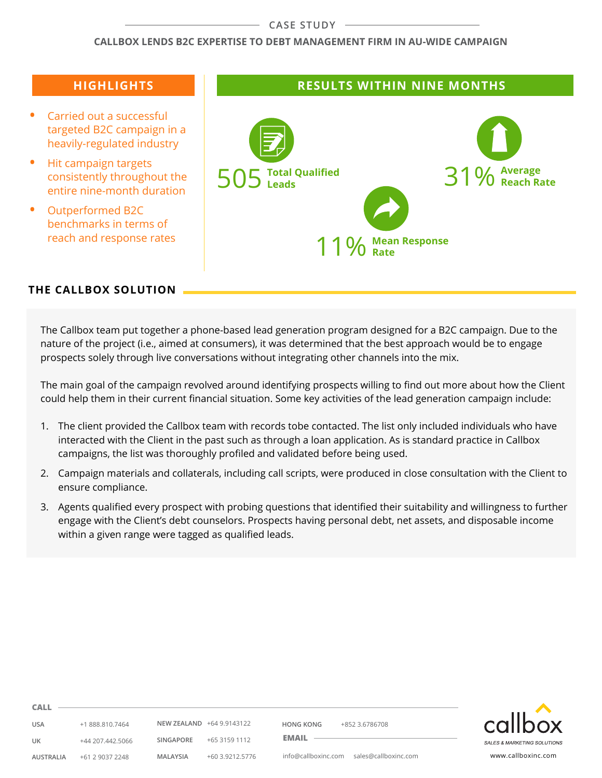#### **CASE STUDY**

#### **Callbox Lends B2C Expertise to Debt Management Firm in AU-wide Campaign**

## **Highlights**

- **Carried out a successful** targeted B2C campaign in a heavily-regulated industry
- **Hit campaign targets** consistently throughout the entire nine-month duration
- **•**  Outperformed B2C benchmarks in terms of reach and response rates

## **Results within NINE MONTHS**



## **THE CALLBOX SOLUTION**

The Callbox team put together a phone-based lead generation program designed for a B2C campaign. Due to the nature of the project (i.e., aimed at consumers), it was determined that the best approach would be to engage prospects solely through live conversations without integrating other channels into the mix.

The main goal of the campaign revolved around identifying prospects willing to find out more about how the Client could help them in their current financial situation. Some key activities of the lead generation campaign include:

- 1. The client provided the Callbox team with records tobe contacted. The list only included individuals who have interacted with the Client in the past such as through a loan application. As is standard practice in Callbox campaigns, the list was thoroughly profiled and validated before being used.
- 2. Campaign materials and collaterals, including call scripts, were produced in close consultation with the Client to ensure compliance.
- 3. Agents qualified every prospect with probing questions that identified their suitability and willingness to further engage with the Client's debt counselors. Prospects having personal debt, net assets, and disposable income within a given range were tagged as qualified leads.



**USA** +1 888.810.7464

**Call**

**UK** +44 207.442.5066 **AUSTRALIA** +61 2 9037 2248 **SINGAPORE** +65 3159 1112 **MALAYSIA** +60 3.9212.5776

**NEW ZEALAND** +64 9.9143122

**HONG KONG** +852 3.6786708

**Email** 

info@callboxinc.com sales@callboxinc.com www.callboxinc.com